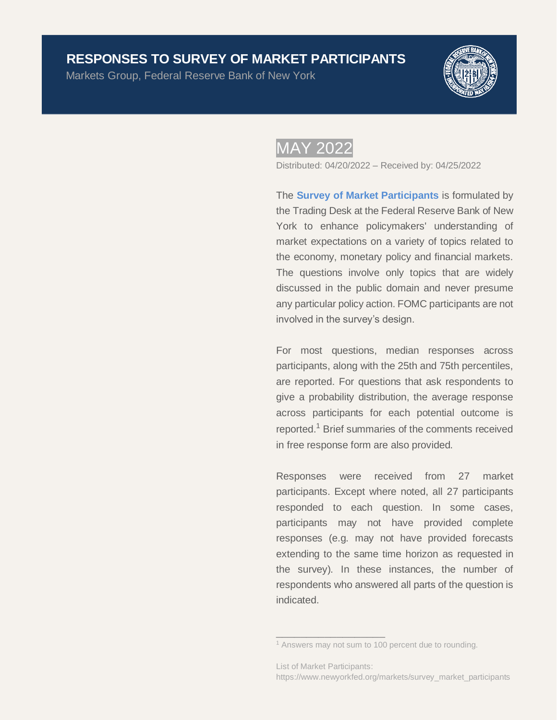Markets Group, Federal Reserve Bank of New York



# MAY 2022

Distributed: 04/20/2022 – Received by: 04/25/2022

The **[Survey of Market Participants](https://www.newyorkfed.org/markets/survey_market_participants)** is formulated by the Trading Desk at the Federal Reserve Bank of New York to enhance policymakers' understanding of market expectations on a variety of topics related to the economy, monetary policy and financial markets. The questions involve only topics that are widely discussed in the public domain and never presume any particular policy action. FOMC participants are not involved in the survey's design. **HESPONSES TO SURVEY OF MARKET PARTICIPANTS**<br>
Warkets Group, Federal Reserve Bank of New York<br>
The Survey of Market Participants is formulated by<br>
the Survey of Market Participants is formulated by<br>
the Coronary of Market

For most questions, median responses across participants, along with the 25th and 75th percentiles, are reported. For questions that ask respondents to give a probability distribution, the average response across participants for each potential outcome is reported.<sup>1</sup> Brief summaries of the comments received in free response form are also provided.

Responses were received from 27 market participants. Except where noted, all 27 participants responded to each question. In some cases, participants may not have provided complete responses (e.g. may not have provided forecasts extending to the same time horizon as requested in the survey). In these instances, the number of respondents who answered all parts of the question is indicated.

\_\_\_\_\_\_\_\_\_\_\_\_\_\_\_\_\_\_

<sup>&</sup>lt;sup>1</sup> Answers may not sum to 100 percent due to rounding.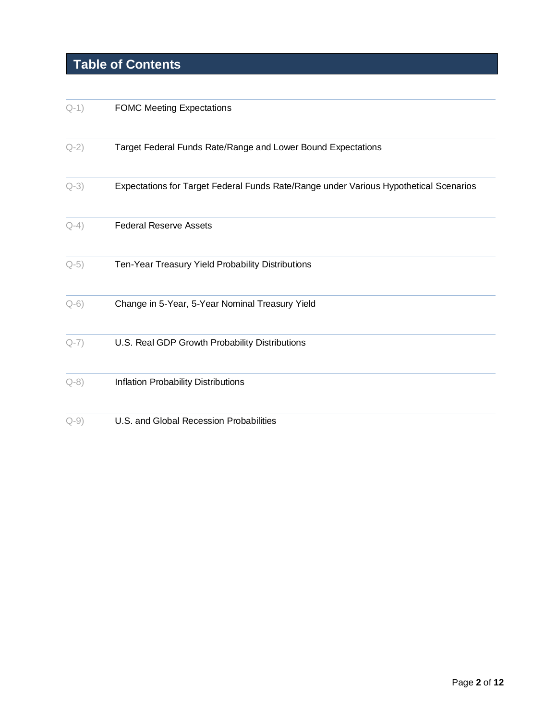# **Table of Contents**

| $Q-1)$ | <b>FOMC Meeting Expectations</b>                                                      |
|--------|---------------------------------------------------------------------------------------|
| $Q-2)$ | Target Federal Funds Rate/Range and Lower Bound Expectations                          |
| $Q-3)$ | Expectations for Target Federal Funds Rate/Range under Various Hypothetical Scenarios |
| $Q-4)$ | <b>Federal Reserve Assets</b>                                                         |
| $Q-5)$ | Ten-Year Treasury Yield Probability Distributions                                     |
| $Q-6)$ | Change in 5-Year, 5-Year Nominal Treasury Yield                                       |
| $Q-7)$ | U.S. Real GDP Growth Probability Distributions                                        |
| $Q-8)$ | Inflation Probability Distributions                                                   |
| $Q-9)$ | U.S. and Global Recession Probabilities                                               |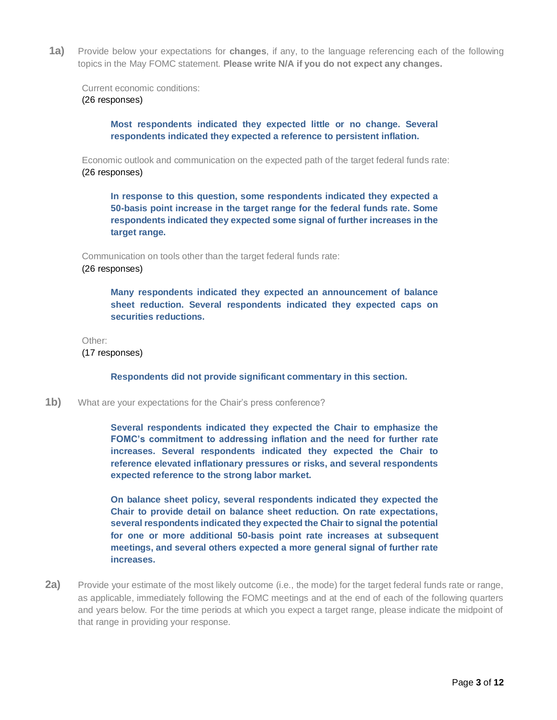<span id="page-2-0"></span>**1a)** Provide below your expectations for **changes**, if any, to the language referencing each of the following topics in the May FOMC statement. **Please write N/A if you do not expect any changes.**

Current economic conditions: (26 responses)

> **Most respondents indicated they expected little or no change. Several respondents indicated they expected a reference to persistent inflation.**

Economic outlook and communication on the expected path of the target federal funds rate: (26 responses)

**In response to this question, some respondents indicated they expected a 50-basis point increase in the target range for the federal funds rate. Some respondents indicated they expected some signal of further increases in the target range.** 

Communication on tools other than the target federal funds rate: (26 responses)

> **Many respondents indicated they expected an announcement of balance sheet reduction. Several respondents indicated they expected caps on securities reductions.**

Other:

(17 responses)

**Respondents did not provide significant commentary in this section.**

**1b)** What are your expectations for the Chair's press conference?

**Several respondents indicated they expected the Chair to emphasize the FOMC's commitment to addressing inflation and the need for further rate increases. Several respondents indicated they expected the Chair to reference elevated inflationary pressures or risks, and several respondents expected reference to the strong labor market.** 

**On balance sheet policy, several respondents indicated they expected the Chair to provide detail on balance sheet reduction. On rate expectations, several respondents indicated they expected the Chair to signal the potential for one or more additional 50-basis point rate increases at subsequent meetings, and several others expected a more general signal of further rate increases.** 

<span id="page-2-1"></span>**2a)** Provide your estimate of the most likely outcome (i.e., the mode) for the target federal funds rate or range, as applicable, immediately following the FOMC meetings and at the end of each of the following quarters and years below. For the time periods at which you expect a target range, please indicate the midpoint of that range in providing your response.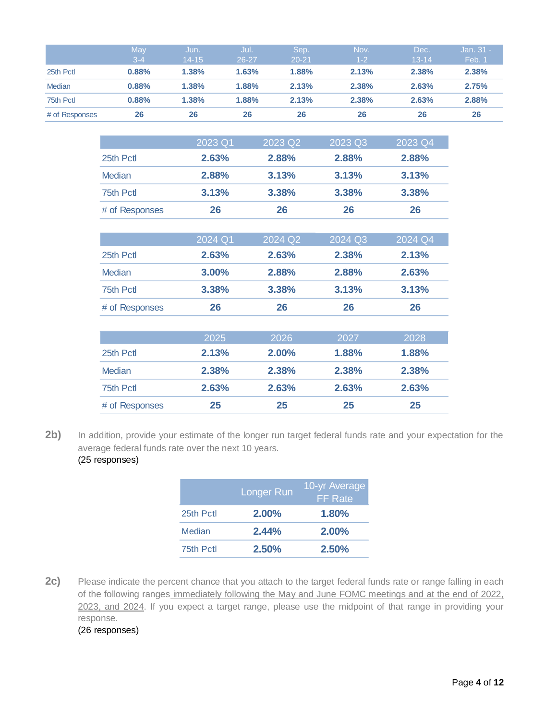|                | May<br>$3 - 4$ | Jun.<br>$14 - 15$ | Jul.<br>$26 - 27$ | Sep.<br>$20 - 21$ | Nov.<br>$1 - 2$ | Dec.<br>$13 - 14$ | Jan. 31 -<br>Feb. 1 |  |
|----------------|----------------|-------------------|-------------------|-------------------|-----------------|-------------------|---------------------|--|
| 25th Pctl      | 0.88%          | 1.38%             | 1.63%             | 1.88%             | 2.13%           | 2.38%             | 2.38%               |  |
| Median         | 0.88%          | 1.38%             | 1.88%             | 2.13%             | 2.38%           | 2.63%             | 2.75%               |  |
| 75th Pctl      | 0.88%          | 1.38%             | 1.88%             | 2.13%             | 2.38%           | 2.63%             | 2.88%               |  |
| # of Responses | 26             | 26                | 26                | 26                | 26              | 26                | 26                  |  |

|                | 2023 Q1 | 2023 Q2 | 2023 Q3 | 2023 Q4 |
|----------------|---------|---------|---------|---------|
| 25th Pctl      | 2.63%   | 2.88%   | 2.88%   | 2.88%   |
| <b>Median</b>  | 2.88%   | 3.13%   | 3.13%   | 3.13%   |
| 75th Pctl      | 3.13%   | 3.38%   | 3.38%   | 3.38%   |
| # of Responses | 26      | 26      | 26      | 26      |

|                | 2024 Q1 | 2024 Q <sub>2</sub> | 2024 Q3 | 2024 Q4 |  |
|----------------|---------|---------------------|---------|---------|--|
| 25th Pctl      | 2.63%   | 2.63%               | 2.38%   | 2.13%   |  |
| Median         | 3.00%   | 2.88%               | 2.88%   | 2.63%   |  |
| 75th Pctl      | 3.38%   | 3.38%               | 3.13%   | 3.13%   |  |
| # of Responses | 26      | 26                  | 26      | 26      |  |

|                | 2025  | 2026     | 2027  | 2028         |
|----------------|-------|----------|-------|--------------|
| 25th Pctl      | 2.13% | $2.00\%$ | 1.88% | <b>1.88%</b> |
| Median         | 2.38% | 2.38%    | 2.38% | 2.38%        |
| 75th Pctl      | 2.63% | 2.63%    | 2.63% | 2.63%        |
| # of Responses | 25    | 25       | 25    | 25           |

2b) In addition, provide your estimate of the longer run target federal funds rate and your expectation for the average federal funds rate over the next 10 years. (25 responses)

|           | Longer Run | 10-yr Average<br><b>FF</b> Rate |
|-----------|------------|---------------------------------|
| 25th Pctl | $2.00\%$   | 1.80%                           |
| Median    | 2.44%      | $2.00\%$                        |
| 75th Pctl | 2.50%      | 2.50%                           |

**2c)** Please indicate the percent chance that you attach to the target federal funds rate or range falling in each of the following ranges immediately following the May and June FOMC meetings and at the end of 2022, 2023, and 2024. If you expect a target range, please use the midpoint of that range in providing your response.

(26 responses)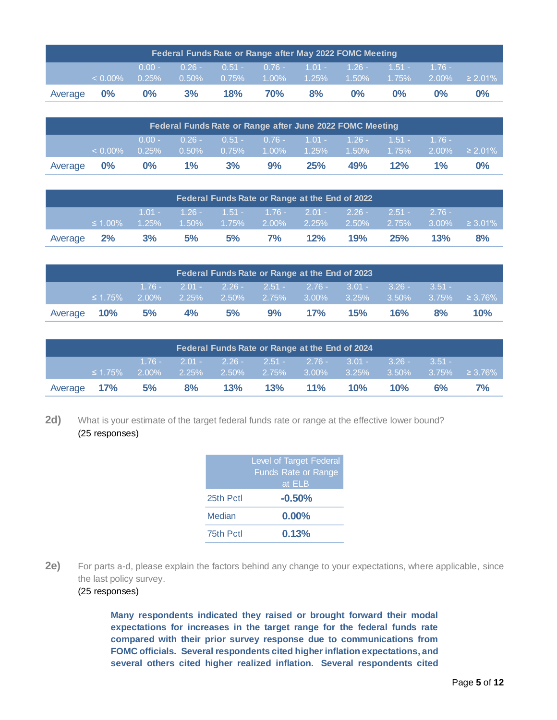|         | Federal Funds Rate or Range after May 2022 FOMC Meeting |                      |                      |          |            |    |                                                                      |            |                                  |       |
|---------|---------------------------------------------------------|----------------------|----------------------|----------|------------|----|----------------------------------------------------------------------|------------|----------------------------------|-------|
|         | $< 0.00\%$                                              | $0.00 -$<br>$0.25\%$ | $0.26 -$<br>$0.50\%$ | $0.75\%$ |            |    | $0.51 - 0.76 - 1.01 - 1.26 -$<br>$1.00\%$ $1.25\%$ $1.50\%$ $1.75\%$ | $1.51 - 1$ | $-1.76 -$<br>$2.00\% \ge 2.01\%$ |       |
| Average | $\mathbf{0\%}$                                          | $0\%$                | 3%                   | 18%      | <b>70%</b> | 8% | $0\%$                                                                | $0\%$      | $0\%$                            | $0\%$ |

|         | Federal Funds Rate or Range after June 2022 FOMC Meeting |                   |                      |          |                                                                      |     |     |           |          |                     |
|---------|----------------------------------------------------------|-------------------|----------------------|----------|----------------------------------------------------------------------|-----|-----|-----------|----------|---------------------|
|         | $< 0.00\%$                                               | $0.00 -$<br>0.25% | $0.26 -$<br>$0.50\%$ | $0.75\%$ | $0.51 - 0.76 - 1.01 - 1.26 -$<br>$1.00\%$ $1.25\%$ $1.50\%$ $1.75\%$ |     |     | $-1.51 -$ | $1.76 -$ | $2.00\% \ge 2.01\%$ |
| Average | $\mathbf{0\%}$                                           | $0\%$             | $1\%$                | 3%       | 9%                                                                   | 25% | 49% | 12%       | $1\%$    | $0\%$               |

|         | Federal Funds Rate or Range at the End of 2022 |    |    |    |                                                                                                               |     |     |          |           |                      |
|---------|------------------------------------------------|----|----|----|---------------------------------------------------------------------------------------------------------------|-----|-----|----------|-----------|----------------------|
|         | $\leq 1.00\%$                                  |    |    |    | $1.01 - 1.26 - 1.51 - 1.76 - 2.01 - 2.26 -$<br>$1.25\%$ $1.50\%$ $1.75\%$ $2.00\%$ $2.25\%$ $2.50\%$ $2.75\%$ |     |     | $2.51 -$ | $-2.76 -$ | $3.00\% \geq 3.01\%$ |
| Average | $2\%$                                          | 3% | 5% | 5% | <b>7%</b>                                                                                                     | 12% | 19% | 25%      | 13%       | 8%                   |

|         |               |    |                            |    | Federal Funds Rate or Range at the End of 2023                                                  |            |     |            |          |     |
|---------|---------------|----|----------------------------|----|-------------------------------------------------------------------------------------------------|------------|-----|------------|----------|-----|
|         | $\leq 1.75\%$ |    | $2.00\%$ $2.25\%$ $2.50\%$ |    | $1.76 - 2.01 - 2.26 - 2.51 - 2.76 - 3.01 - 3.26 -$<br>$-2.75\%$ 3.00% 3.25% 3.50% 3.75% ≥ 3.76% |            |     |            | $3.51 -$ |     |
| Average | 10%           | 5% | 4%                         | 5% | 9%                                                                                              | <b>17%</b> | 15% | <b>16%</b> | 8%       | 10% |

|         |                   |  | Federal Funds Rate or Range at the End of 2024                                                                                              |  |     |           |    |
|---------|-------------------|--|---------------------------------------------------------------------------------------------------------------------------------------------|--|-----|-----------|----|
|         | $\leq 1.75\%$     |  | . 1.76 - 2.01 - 2.26 - 2.51 - 2.76 - 3.01 - 3.26 -<br>$2.00\%$ $2.25\%$ $2.50\%$ $2.75\%$ $3.00\%$ $3.25\%$ $3.50\%$ $3.75\%$ $\geq 3.76\%$ |  |     | $-3.51 -$ |    |
| Average | $\sim$ 17% $\sim$ |  | 5% 8% 13% 13% 11% 10%                                                                                                                       |  | 10% | 6%        | 7% |

2d) What is your estimate of the target federal funds rate or range at the effective lower bound? (25 responses)

|           | <b>Level of Target Federal</b><br><b>Funds Rate or Range</b><br>at ELB |
|-----------|------------------------------------------------------------------------|
| 25th Pctl | $-0.50%$                                                               |
| Median    | $0.00\%$                                                               |
| 75th Pctl | 0.13%                                                                  |

**2e)** For parts a-d, please explain the factors behind any change to your expectations, where applicable, since the last policy survey.

### (25 responses)

**Many respondents indicated they raised or brought forward their modal expectations for increases in the target range for the federal funds rate compared with their prior survey response due to communications from FOMC officials. Several respondents cited higher inflation expectations, and several others cited higher realized inflation. Several respondents cited**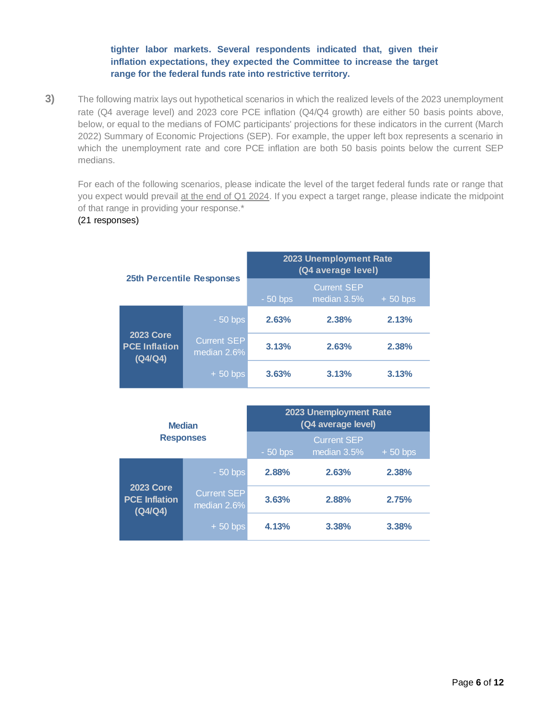# **tighter labor markets. Several respondents indicated that, given their inflation expectations, they expected the Committee to increase the target range for the federal funds rate into restrictive territory.**

<span id="page-5-0"></span>**3)** The following matrix lays out hypothetical scenarios in which the realized levels of the 2023 unemployment rate (Q4 average level) and 2023 core PCE inflation (Q4/Q4 growth) are either 50 basis points above, below, or equal to the medians of FOMC participants' projections for these indicators in the current (March 2022) Summary of Economic Projections (SEP). For example, the upper left box represents a scenario in which the unemployment rate and core PCE inflation are both 50 basis points below the current SEP medians.

For each of the following scenarios, please indicate the level of the target federal funds rate or range that you expect would prevail at the end of Q1 2024. If you expect a target range, please indicate the midpoint of that range in providing your response.\*

## (21 responses)

|                                                     |                                   | 2023 Unemployment Rate<br>(Q4 average level) |                                   |           |  |  |
|-----------------------------------------------------|-----------------------------------|----------------------------------------------|-----------------------------------|-----------|--|--|
|                                                     | <b>25th Percentile Responses</b>  | $-50$ bps                                    | <b>Current SEP</b><br>median 3.5% | $+50$ bps |  |  |
| <b>2023 Core</b><br><b>PCE Inflation</b><br>(Q4/Q4) | $-50$ bps                         | 2.63%                                        | 2.38%                             | 2.13%     |  |  |
|                                                     | <b>Current SEP</b><br>median 2.6% | 3.13%                                        | 2.63%                             | 2.38%     |  |  |
|                                                     | $+50$ bps                         | 3.63%                                        | 3.13%                             | 3.13%     |  |  |

|                                                     | <b>Median</b>              | 2023 Unemployment Rate<br>(Q4 average level) |                                   |           |  |  |
|-----------------------------------------------------|----------------------------|----------------------------------------------|-----------------------------------|-----------|--|--|
| <b>Responses</b>                                    |                            | $-50$ bps                                    | <b>Current SEP</b><br>median 3.5% | $+50$ bps |  |  |
| <b>2023 Core</b><br><b>PCE Inflation</b><br>(Q4/Q4) | $-50$ bps                  | 2.88%                                        | 2.63%                             | 2.38%     |  |  |
|                                                     | Current SEP<br>median 2.6% | 3.63%                                        | 2.88%                             | 2.75%     |  |  |
|                                                     | $+50$ bps                  | 4.13%                                        | 3.38%                             | 3.38%     |  |  |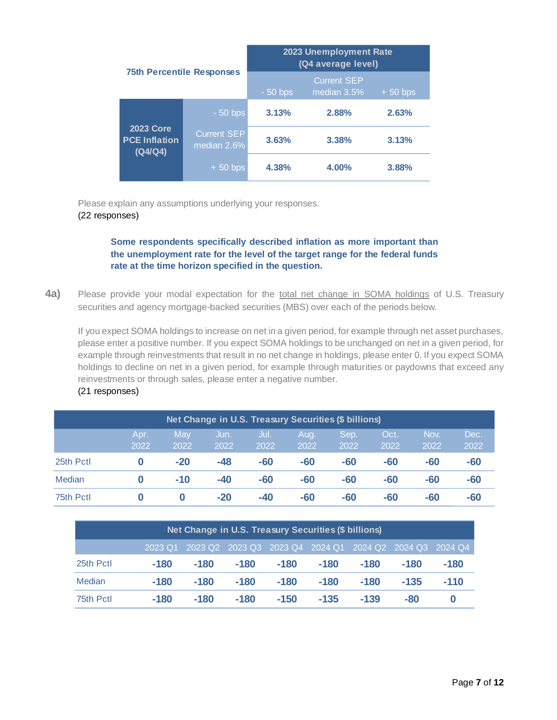|                                                     |                                   | 2023 Unemployment Rate<br>(Q4 average level) |                                   |           |  |
|-----------------------------------------------------|-----------------------------------|----------------------------------------------|-----------------------------------|-----------|--|
| <b>75th Percentile Responses</b>                    |                                   | $-50$ bps                                    | <b>Current SEP</b><br>median 3.5% | $+50$ bps |  |
|                                                     | $-50$ bps                         | 3.13%                                        | 2.88%                             | 2.63%     |  |
| <b>2023 Core</b><br><b>PCE Inflation</b><br>(Q4/Q4) | <b>Current SEP</b><br>median 2.6% | 3.63%                                        | 3.38%                             | 3.13%     |  |
|                                                     | $+50$ bps                         | 4.38%                                        | 4.00%                             | 3.88%     |  |

Please explain any assumptions underlying your responses. (22 responses)

# **Some respondents specifically described inflation as more important than the unemployment rate for the level of the target range for the federal funds rate at the time horizon specified in the question.**

<span id="page-6-0"></span>**4a)** Please provide your modal expectation for the total net change in SOMA holdings of U.S. Treasury securities and agency mortgage-backed securities (MBS) over each of the periods below.

If you expect SOMA holdings to increase on net in a given period, for example through net asset purchases, please enter a positive number. If you expect SOMA holdings to be unchanged on net in a given period, for example through reinvestments that result in no net change in holdings, please enter 0. If you expect SOMA holdings to decline on net in a given period, for example through maturities or paydowns that exceed any reinvestments or through sales, please enter a negative number. (21 responses)

| Net Change in U.S. Treasury Securities (\$ billions) |      |       |       |       |       |       |       |       |       |  |
|------------------------------------------------------|------|-------|-------|-------|-------|-------|-------|-------|-------|--|
|                                                      | Apr. | May   | Jun.  | Jul.  | Aug.  | Sep.  | Oct.  | Nov.  | Dec.  |  |
|                                                      | 2022 | 2022  | 2022  | 2022  | 2022  | 2022  | 2022  | 2022  | 2022  |  |
| 25th Pctl                                            |      | $-20$ | $-48$ | $-60$ | $-60$ | $-60$ | -60   | $-60$ | -60   |  |
| Median                                               |      | $-10$ | $-40$ | $-60$ | $-60$ | $-60$ | $-60$ | $-60$ | $-60$ |  |
| 75th Pctl                                            |      |       | $-20$ | $-40$ | -60   | $-60$ | -60   | $-60$ | -60   |  |

|           | Net Change in U.S. Treasury Securities (\$ billions) |                                                                 |        |        |        |        |        |        |  |  |  |
|-----------|------------------------------------------------------|-----------------------------------------------------------------|--------|--------|--------|--------|--------|--------|--|--|--|
|           |                                                      | 2023 Q1 2023 Q2 2023 Q3 2023 Q4 2024 Q1 2024 Q2 2024 Q3 2024 Q4 |        |        |        |        |        |        |  |  |  |
| 25th Pctl | -180                                                 | $-180$                                                          | $-180$ | $-180$ | -180   | $-180$ | -180   | -180   |  |  |  |
| Median    | $-180$                                               | $-180$                                                          | $-180$ | $-180$ | $-180$ | $-180$ | $-135$ | $-110$ |  |  |  |
| 75th Pctl | $-180$                                               | $-180$                                                          | $-180$ | $-150$ | $-135$ | $-139$ | -80    | 0      |  |  |  |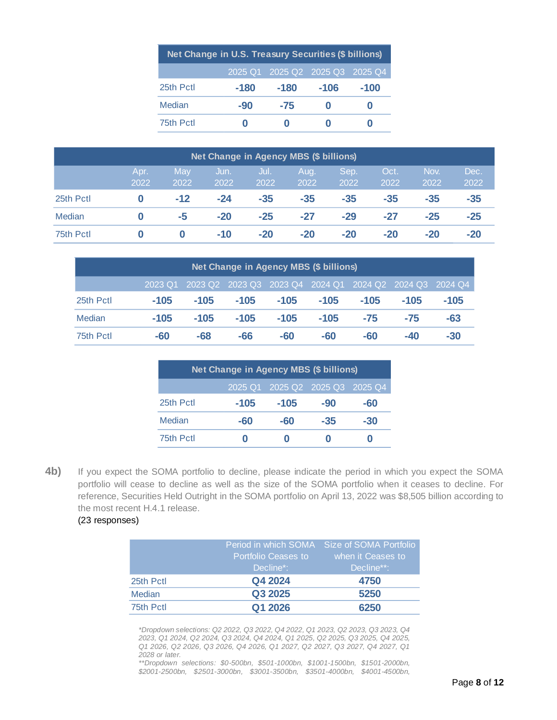| Net Change in U.S. Treasury Securities (\$ billions) |      |                                 |        |        |  |  |  |  |  |
|------------------------------------------------------|------|---------------------------------|--------|--------|--|--|--|--|--|
|                                                      |      | 2025 Q1 2025 Q2 2025 Q3 2025 Q4 |        |        |  |  |  |  |  |
| 25th Pctl                                            | -180 | $-180$                          | $-106$ | $-100$ |  |  |  |  |  |
| Median                                               | -90  | $-75$                           | O      | O      |  |  |  |  |  |
| 75th Pctl                                            | O    |                                 |        |        |  |  |  |  |  |

|           |           |                  |                  |              |                  | 2025 Q1<br>2025 Q <sub>2</sub>                |                  | 2025 Q3<br>2025 Q4 |                       |         |              |              |
|-----------|-----------|------------------|------------------|--------------|------------------|-----------------------------------------------|------------------|--------------------|-----------------------|---------|--------------|--------------|
|           |           |                  | 25th Pctl        |              | $-180$           | $-180$                                        | $-106$           |                    | $-100$                |         |              |              |
|           |           |                  | Median           |              | $-90$            | $-75$                                         | $\bf{0}$         |                    | $\boldsymbol{0}$      |         |              |              |
|           |           |                  | 75th Pctl        |              | $\boldsymbol{0}$ | $\boldsymbol{0}$                              | $\boldsymbol{0}$ |                    | $\boldsymbol{0}$      |         |              |              |
|           |           |                  |                  |              |                  |                                               |                  |                    |                       |         |              |              |
|           |           |                  |                  |              |                  | Net Change in Agency MBS (\$ billions)        |                  |                    |                       |         |              |              |
|           |           | Apr.<br>2022     | May<br>2022      | Jun.<br>2022 |                  | Jul.<br>2022                                  | Aug.<br>2022     | Sep.<br>2022       | Oct.<br>2022          |         | Nov.<br>2022 | Dec.<br>2022 |
| 25th Pctl |           | $\boldsymbol{0}$ | $-12$            | $-24$        |                  | $-35$                                         | $-35$            | $-35$              | $-35$                 |         | $-35$        | $-35$        |
| Median    |           | $\boldsymbol{0}$ | $-5$             | $-20$        |                  | $-25$                                         | $-27$            | $-29$              | $-27$                 |         | $-25$        | $-25$        |
| 75th Pctl |           | $\boldsymbol{0}$ | $\boldsymbol{0}$ | $-10$        |                  | $-20$                                         | $-20$            | $-20$              | $-20$                 |         | $-20$        | $-20$        |
|           |           |                  |                  |              |                  |                                               |                  |                    |                       |         |              |              |
|           |           |                  |                  |              |                  | <b>Net Change in Agency MBS (\$ billions)</b> |                  |                    |                       |         |              |              |
|           |           | 2023 Q1          |                  | 2023 Q2      | 2023 Q3          | 2023 Q4                                       | 2024 Q1          |                    | $2024$ Q <sub>2</sub> | 2024 Q3 | 2024 Q4      |              |
|           | 25th Pctl | $-105$           |                  | $-105$       | $-105$           | $-105$                                        | $-105$           |                    | $-105$                | $-105$  | $-105$       |              |
|           | Median    | $-105$           |                  | $-105$       | $-105$           | $-105$                                        | $-105$           |                    | $-75$                 | $-75$   | $-63$        |              |
|           | 75th Pctl | $-60$            |                  | $-68$        | $-66$            | $-60$                                         | $-60$            |                    | $-60$                 | $-40$   | $-30$        |              |
|           |           |                  | 25th Pctl        |              | $-105$           | $-105$                                        | $-90$            |                    | $-60$                 |         |              |              |
|           |           |                  | Median           |              | $-60$            | $-60$                                         | $-35$            |                    | $-30$                 |         |              |              |
|           |           |                  | 75th Pctl        |              | $\boldsymbol{0}$ | $\boldsymbol{0}$                              | $\boldsymbol{0}$ |                    | $\boldsymbol{0}$      |         |              |              |
|           |           |                  |                  |              |                  |                                               |                  |                    |                       |         |              |              |

| <b>Net Change in Agency MBS (\$ billions)</b> |         |        |        |        |        |        |        |                                                                     |  |  |
|-----------------------------------------------|---------|--------|--------|--------|--------|--------|--------|---------------------------------------------------------------------|--|--|
|                                               | 2023 Q1 |        |        |        |        |        |        | 2023 Q2   2023 Q3   2023 Q4   2024 Q1   2024 Q2   2024 Q3   2024 Q4 |  |  |
| 25th Pctl                                     | $-105$  | $-105$ | $-105$ | $-105$ | $-105$ | $-105$ | $-105$ | $-105$                                                              |  |  |
| Median                                        | $-105$  | $-105$ | $-105$ | $-105$ | $-105$ | $-75$  | $-75$  | $-63$                                                               |  |  |
| 75th Pctl                                     | -60     | -68    | -66    | -60    | -60    | -60    | -40    | $-30$                                                               |  |  |

| <b>Net Change in Agency MBS (\$ billions)</b> |                                 |        |       |     |  |  |  |  |  |  |  |
|-----------------------------------------------|---------------------------------|--------|-------|-----|--|--|--|--|--|--|--|
|                                               | 2025 Q1 2025 Q2 2025 Q3 2025 Q4 |        |       |     |  |  |  |  |  |  |  |
| 25th Pctl                                     | $-105$                          | $-105$ | -90   | -60 |  |  |  |  |  |  |  |
| Median                                        | -60                             | -60    | $-35$ | -30 |  |  |  |  |  |  |  |
| 75th Pctl                                     | O                               |        |       |     |  |  |  |  |  |  |  |

### (23 responses)

|           |                     | Period in which SOMA Size of SOMA Portfolio |
|-----------|---------------------|---------------------------------------------|
|           | Portfolio Ceases to | when it Ceases to                           |
|           | Decline*:           | Decline**:                                  |
| 25th Pctl | Q4 2024             | 4750                                        |
| Median    | Q3 2025             | 5250                                        |
| 75th Pctl | Q1 2026             | 6250                                        |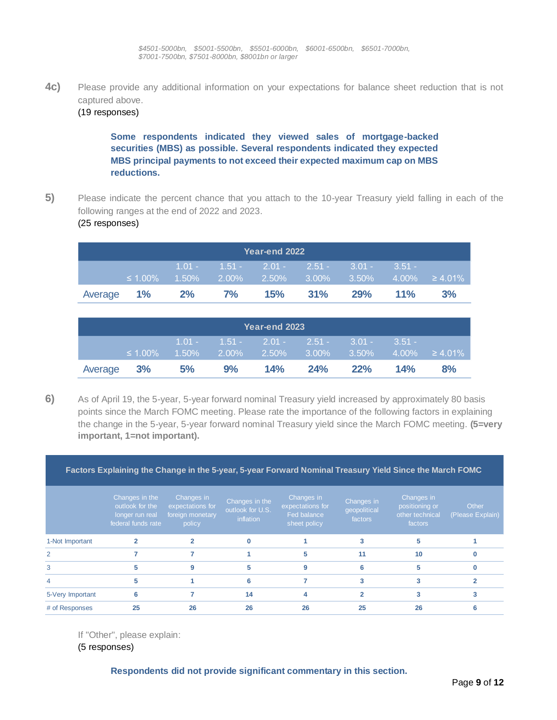**4c)** Please provide any additional information on your expectations for balance sheet reduction that is not captured above.

#### (19 responses)

**Some respondents indicated they viewed sales of mortgage-backed securities (MBS) as possible. Several respondents indicated they expected MBS principal payments to not exceed their expected maximum cap on MBS reductions.**

**5)** Please indicate the percent chance that you attach to the 10-year Treasury yield falling in each of the following ranges at the end of 2022 and 2023.

#### <span id="page-8-0"></span>(25 responses)

| Year-end 2022 |               |                |       |                                      |                               |     |                                 |    |  |
|---------------|---------------|----------------|-------|--------------------------------------|-------------------------------|-----|---------------------------------|----|--|
|               | $\leq 1.00\%$ | $1.50\%$ 2.00% |       | $1.01 - 1.51 - 2.01 - 2.51 - 3.01 -$ | $-2.50\%$ $-3.00\%$ $-3.50\%$ |     | $3.51 -$<br>$4.00\% \ge 4.01\%$ |    |  |
| Average 1%    |               | 2%             | $7\%$ | 15%                                  | 31%                           | 29% | $11\%$                          | 3% |  |

| Year-end 2023 |               |           |    |                                                                                  |     |     |          |    |  |
|---------------|---------------|-----------|----|----------------------------------------------------------------------------------|-----|-----|----------|----|--|
|               | $\leq 1.00\%$ | $-1.50\%$ |    | $1.01 - 1.51 - 2.01 - 2.51 - 3.01 -$<br>$2.00\%$ 2.50% 3.00% 3.50% 4.00% ≥ 4.01% |     |     | $3.51 -$ |    |  |
| Average 3%    |               | 5%        | 9% | 14%                                                                              | 24% | 22% | 14%      | 8% |  |

<span id="page-8-1"></span>**6)** As of April 19, the 5-year, 5-year forward nominal Treasury yield increased by approximately 80 basis points since the March FOMC meeting. Please rate the importance of the following factors in explaining the change in the 5-year, 5-year forward nominal Treasury yield since the March FOMC meeting. **(5=very important, 1=not important).**

**Factors Explaining the Change in the 5-year, 5-year Forward Nominal Treasury Yield Since the March FOMC**

|                  | Changes in the<br>outlook for the<br>longer run real<br>federal funds rate | Changes in<br>expectations for<br>foreign monetary<br>policy | Changes in the<br>outlook for U.S.<br>inflation | Changes in<br>expectations for<br>Fed balance<br>sheet policy | Changes in<br>geopolitical<br>factors | Changes in<br>positioning or<br>other technical<br>factors | Other<br>(Please Explain) |
|------------------|----------------------------------------------------------------------------|--------------------------------------------------------------|-------------------------------------------------|---------------------------------------------------------------|---------------------------------------|------------------------------------------------------------|---------------------------|
| 1-Not Important  |                                                                            |                                                              | $\mathbf{0}$                                    |                                                               |                                       |                                                            |                           |
|                  |                                                                            |                                                              |                                                 | 5                                                             | 11                                    | 10                                                         |                           |
| 3                |                                                                            |                                                              | 5                                               |                                                               |                                       |                                                            |                           |
| $\overline{4}$   |                                                                            |                                                              | 6                                               |                                                               |                                       |                                                            |                           |
| 5-Very Important |                                                                            |                                                              | 14                                              |                                                               |                                       |                                                            |                           |
| # of Responses   | 25                                                                         | 26                                                           | 26                                              | 26                                                            | 25                                    | 26                                                         |                           |

If "Other", please explain:

(5 responses)

**Respondents did not provide significant commentary in this section.**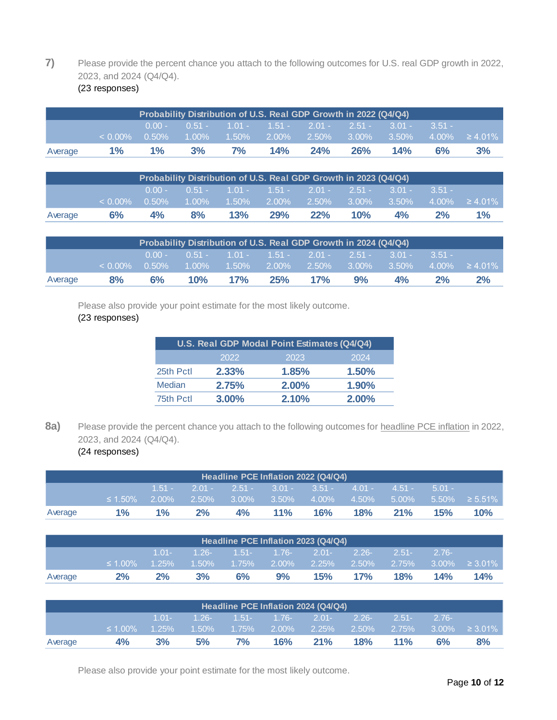# **7)** Please provide the percent chance you attach to the following outcomes for U.S. real GDP growth in 2022, 2023, and 2024 (Q4/Q4).

|         |            |                      |    |                                              |     |     | Probability Distribution of U.S. Real GDP Growth in 2022 (Q4/Q4) |          |          |                            |
|---------|------------|----------------------|----|----------------------------------------------|-----|-----|------------------------------------------------------------------|----------|----------|----------------------------|
|         | $< 0.00\%$ | $0.00 -$<br>$0.50\%$ |    | $1.00\%$ $1.50\%$ $2.00\%$ $2.50\%$ $3.00\%$ |     |     | $0.51 - 1.01 - 1.51 - 2.01 - 2.51 - 3.01 -$                      | $3.50\%$ | $3.51 -$ | $4.00\% \quad \geq 4.01\%$ |
| Average | $1\%$      | $1\%$                | 3% | <b>7%</b>                                    | 14% | 24% | 26%                                                              | 14%      | 6%       | 3%                         |

<span id="page-9-0"></span>

|  | (23 responses) |  |
|--|----------------|--|
|--|----------------|--|

|         |            |                      | Probability Distribution of U.S. Real GDP Growth in 2023 (Q4/Q4) |     |     |     |     |                                                                                        |    |                     |
|---------|------------|----------------------|------------------------------------------------------------------|-----|-----|-----|-----|----------------------------------------------------------------------------------------|----|---------------------|
|         | $< 0.00\%$ | $0.00 -$<br>$0.50\%$ | $-1.00\%$                                                        |     |     |     |     | $0.51 - 1.01 - 1.51 - 2.01 - 2.51 - 3.01 - 3.51 -$<br>$1.50\%$ 2.00% 2.50% 3.00% 3.50% |    | $4.00\% \ge 4.01\%$ |
| Average | 6%         | 4%                   | 8%                                                               | 13% | 29% | 22% | 10% | 4%                                                                                     | 2% | $1\%$               |

|         |            |          | Probability Distribution of U.S. Real GDP Growth in 2024 (Q4/Q4) |     |     |     |                                              |          |          |                     |
|---------|------------|----------|------------------------------------------------------------------|-----|-----|-----|----------------------------------------------|----------|----------|---------------------|
|         |            | $0.00 -$ |                                                                  |     |     |     | $0.51 - 1.01 - 1.51 - 2.01 - 2.51 - 3.01 -$  |          | $3.51 -$ |                     |
|         | $< 0.00\%$ | $0.50\%$ |                                                                  |     |     |     | $1.00\%$ $1.50\%$ $2.00\%$ $2.50\%$ $3.00\%$ | $3.50\%$ |          | $4.00\% \ge 4.01\%$ |
| Average | 8%         | $6\%$    | 10%                                                              | 17% | 25% | 17% | 9%                                           | 4%       | $2\%$    | 2%                  |
|         |            |          |                                                                  |     |     |     |                                              |          |          |                     |

Please also provide your point estimate for the most likely outcome.

# (23 responses)

|           | U.S. Real GDP Modal Point Estimates (Q4/Q4) |       |       |
|-----------|---------------------------------------------|-------|-------|
|           | 2022                                        | 2023  | 2024  |
| 25th Pctl | 2.33%                                       | 1.85% | 1.50% |
| Median    | 2.75%                                       | 2.00% | 1.90% |
| 75th Pctl | $3.00\%$                                    | 2.10% | 2.00% |

8a) Please provide the percent chance you attach to the following outcomes for headline PCE inflation in 2022, 2023, and 2024 (Q4/Q4).

# <span id="page-9-1"></span>(24 responses)

|         |               |                      |       |          |          | Headline PCE Inflation 2022 (Q4/Q4)       |                   |                         |                      |               |
|---------|---------------|----------------------|-------|----------|----------|-------------------------------------------|-------------------|-------------------------|----------------------|---------------|
|         | $\leq 1.50\%$ | $1.51 -$<br>$2.00\%$ | 2.50% | $3.00\%$ | $3.50\%$ | $2.01 - 2.51 - 3.01 - 3.51 -$<br>$4.00\%$ | $4.01 -$<br>4.50% | $-4.51 - 7$<br>$5.00\%$ | $5.01 -$<br>$5.50\%$ | $\geq 5.51\%$ |
| Average | $1\%$         | $1\%$                | 2%    | 4%       | 11%      | 16%                                       | 18%               | 21%                     | 15%                  | 10%           |

|         |               |          |          |           |               | Headline PCE Inflation 2023 (Q4/Q4) |          |          |          |               |
|---------|---------------|----------|----------|-----------|---------------|-------------------------------------|----------|----------|----------|---------------|
|         |               | $1.01 -$ | $-1.26-$ |           | $1.51 - 1.76$ | $2.01 -$                            | $2.26 -$ | $2.51 -$ | $2.76-$  |               |
|         | $\leq 1.00\%$ | $1.25\%$ | $1.50\%$ | $-1.75\%$ | $2.00\%$      | $2.25\%$                            | 2.50%    | $2.75\%$ | $3.00\%$ | $\geq 3.01\%$ |
| Average | 2%            | 2%       | 3%       | 6%        | 9%            | 15%                                 | 17%      | 18%      | 14%      | 14%           |

|         |               |                      |                      |           |                           | Headline PCE Inflation 2024 (Q4/Q4) |                   |                   |         |                      |
|---------|---------------|----------------------|----------------------|-----------|---------------------------|-------------------------------------|-------------------|-------------------|---------|----------------------|
|         | $\leq 1.00\%$ | $1.01 -$<br>$1.25\%$ | $-1.26-$<br>$1.50\%$ | $-1.75\%$ | $1.51 - 1.76$<br>$2.00\%$ | $2.01 -$<br>$2.25\%$                | $2.26 -$<br>2.50% | $2.51 -$<br>2.75% | $2.76-$ | $3.00\% \geq 3.01\%$ |
| Average | 4%            | 3%                   | 5%                   | 7%        | 16%                       | 21%                                 | 18%               | $11\%$            | 6%      | 8%                   |

Please also provide your point estimate for the most likely outcome.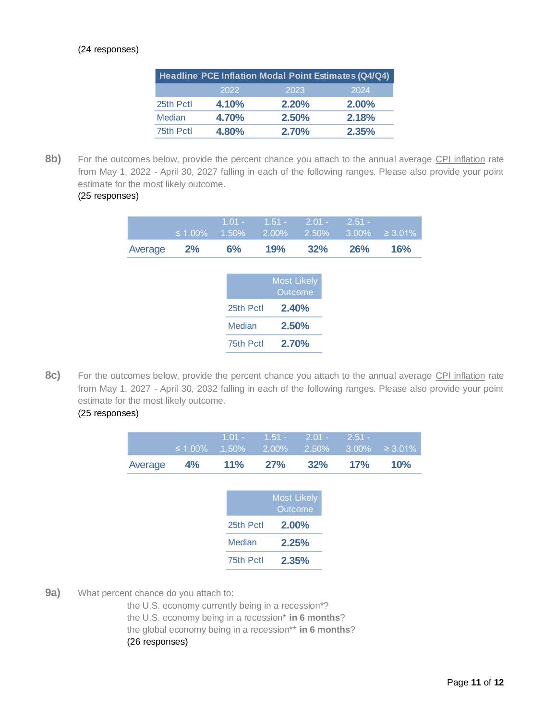#### (24 responses)

|           |       | Headline PCE Inflation Modal Point Estimates (Q4/Q4) |          |
|-----------|-------|------------------------------------------------------|----------|
|           | 2022  | 2023                                                 | 2024     |
| 25th Pctl | 4.10% | 2.20%                                                | $2.00\%$ |
| Median    | 4.70% | 2.50%                                                | 2.18%    |
| 75th Pctl | 4.80% | <b>2.70%</b>                                         | 2.35%    |

8b) For the outcomes below, provide the percent chance you attach to the annual average CPI inflation rate from May 1, 2022 - April 30, 2027 falling in each of the following ranges. Please also provide your point estimate for the most likely outcome.

# (25 responses)

|         | ≤ 1.00% | $1.01 -$<br>1.50% | $1.51 -$<br>2.00%  | $2.01 -$<br>2.50% | $2.51 -$<br>3.00% | $\geq 3.01\%$ |
|---------|---------|-------------------|--------------------|-------------------|-------------------|---------------|
| Average | 2%      | 6%                | 19%                | 32%               | 26%               | 16%           |
|         |         |                   |                    |                   |                   |               |
|         |         |                   | <b>Most Likely</b> | Outcome           |                   |               |
|         |         | 25th Pctl         | 2.40%              |                   |                   |               |
|         |         | Median            |                    | 2.50%             |                   |               |
|         |         | 75th Pctl         | 2.70%              |                   |                   |               |
|         |         |                   |                    |                   |                   |               |

8c) For the outcomes below, provide the percent chance you attach to the annual average CPI inflation rate from May 1, 2027 - April 30, 2032 falling in each of the following ranges. Please also provide your point estimate for the most likely outcome.

# (25 responses)

| $\leq 1.00\%$ | $1.01 -$<br>1.50% | $1.51 -$<br>2.00% | $2.01 -$<br>2.50%      | $2.51 -$<br>3.00%                                        | $\geq 3.01\%$ |
|---------------|-------------------|-------------------|------------------------|----------------------------------------------------------|---------------|
| 4%            | 11%               | <b>27%</b>        | 32%                    | 17%                                                      | 10%           |
|               |                   |                   |                        |                                                          |               |
|               |                   |                   |                        |                                                          |               |
|               |                   |                   |                        |                                                          |               |
|               | Median            |                   |                        |                                                          |               |
|               |                   |                   |                        |                                                          |               |
|               |                   |                   | 25th Pctl<br>75th Pctl | <b>Most Likely</b><br>Outcome<br>2.00%<br>2.25%<br>2.35% |               |

<span id="page-10-0"></span>**9a)** What percent chance do you attach to:

the U.S. economy currently being in a recession\*? the U.S. economy being in a recession\* **in 6 months**? the global economy being in a recession\*\* **in 6 months**? (26 responses)